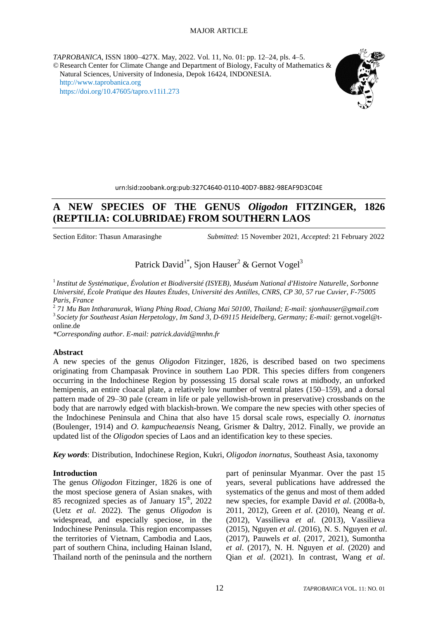*TAPROBANICA*, ISSN 1800–427X. May, 2022. Vol. 11, No. 01: pp. 12–24, pls. 4–5. ©Research Center for Climate Change and Department of Biology, Faculty of Mathematics & Natural Sciences, University of Indonesia, Depok 16424, INDONESIA. [http://www.taprobanica.org](http://www.taprobanica.org/) <https://doi.org/10.47605/tapro.v11i1.273>



urn:lsid:zoobank.org:pub:327C4640-0110-40D7-BB82-98EAF9D3C04E

# **A NEW SPECIES OF THE GENUS** *Oligodon* **FITZINGER, 1826 (REPTILIA: COLUBRIDAE) FROM SOUTHERN LAOS**

Section Editor: Thasun Amarasinghe *Submitted*: 15 November 2021, *Accepted*: 21 February 2022

Patrick David<sup>1\*</sup>, Sjon Hauser<sup>2</sup> & Gernot Vogel<sup>3</sup>

<sup>1</sup>*Institut de Systématique*, *Évolution et Biodiversité (ISYEB)*, *Muséum National d'Histoire Naturelle*, *Sorbonne Université*, *École Pratique des Hautes Études*, *Université des Antilles*, *CNRS*, *CP 30*, *57 rue Cuvier*, *F-75005 Paris*, *France*

2 *71 Mu Ban Intharanurak*, *Wiang Phing Road*, *Chiang Mai 50100*, *Thailand; E-mail: sjonhauser@gmail*.*com* 3 *Society for Southeast Asian Herpetology*, *Im Sand 3*, *D-69115 Heidelberg*, *Germany; E-mail:* gernot.vogel@tonline.de

*\*Corresponding author*. *E-mail: patrick*.*david@mnhn*.*fr*

#### **Abstract**

A new species of the genus *Oligodon* Fitzinger, 1826, is described based on two specimens originating from Champasak Province in southern Lao PDR. This species differs from congeners occurring in the Indochinese Region by possessing 15 dorsal scale rows at midbody, an unforked hemipenis, an entire cloacal plate, a relatively low number of ventral plates (150–159), and a dorsal pattern made of 29–30 pale (cream in life or pale yellowish-brown in preservative) crossbands on the body that are narrowly edged with blackish-brown. We compare the new species with other species of the Indochinese Peninsula and China that also have 15 dorsal scale rows, especially *O. inornatus* (Boulenger, 1914) and *O*. *kampucheaensis* Neang, Grismer & Daltry, 2012. Finally, we provide an updated list of the *Oligodon* species of Laos and an identification key to these species.

*Key words*: Distribution, Indochinese Region, Kukri, *Oligodon inornatus*, Southeast Asia, taxonomy

#### **Introduction**

The genus *Oligodon* Fitzinger, 1826 is one of the most speciose genera of Asian snakes, with 85 recognized species as of January  $15<sup>th</sup>$ , 2022 (Uetz *et al*. 2022). The genus *Oligodon* is widespread, and especially speciose, in the Indochinese Peninsula. This region encompasses the territories of Vietnam, Cambodia and Laos, part of southern China, including Hainan Island, Thailand north of the peninsula and the northern part of peninsular Myanmar. Over the past 15 years, several publications have addressed the systematics of the genus and most of them added new species, for example David *et al*. (2008a-b, 2011, 2012), Green *et al*. (2010), Neang *et al*. (2012), Vassilieva *et al*. (2013), Vassilieva (2015), Nguyen *et al*. (2016), N. S. Nguyen *et al*. (2017), Pauwels *et al*. (2017, 2021), Sumontha *et al*. (2017), N. H. Nguyen *et al*. (2020) and Qian *et al*. (2021). In contrast, Wang *et al*.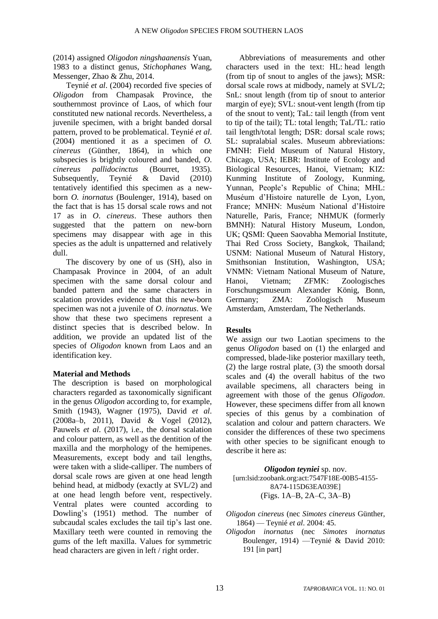(2014) assigned *Oligodon ningshaanensis* Yuan, 1983 to a distinct genus, *Stichophanes* Wang, Messenger, Zhao & Zhu, 2014.

Teynié *et al*. (2004) recorded five species of *Oligodon* from Champasak Province, the southernmost province of Laos, of which four constituted new national records. Nevertheless, a juvenile specimen, with a bright banded dorsal pattern, proved to be problematical. Teynié *et al*. (2004) mentioned it as a specimen of *O. cinereus* (Günther, 1864), in which one subspecies is brightly coloured and banded, *O*. *cinereus pallidocinctus* (Bourret, 1935). Subsequently, Teynié & David (2010) tentatively identified this specimen as a newborn *O. inornatus* (Boulenger, 1914), based on the fact that is has 15 dorsal scale rows and not 17 as in *O*. *cinereus*. These authors then suggested that the pattern on new-born specimens may disappear with age in this species as the adult is unpatterned and relatively dull.

The discovery by one of us (SH), also in Champasak Province in 2004, of an adult specimen with the same dorsal colour and banded pattern and the same characters in scalation provides evidence that this new-born specimen was not a juvenile of *O*. *inornatus*. We show that these two specimens represent a distinct species that is described below. In addition, we provide an updated list of the species of *Oligodon* known from Laos and an identification key.

### **Material and Methods**

The description is based on morphological characters regarded as taxonomically significant in the genus *Oligodon* according to, for example, Smith (1943), Wagner (1975), David *et al*. (2008a–b, 2011), David & Vogel (2012), Pauwels *et al*. (2017), i.e., the dorsal scalation and colour pattern, as well as the dentition of the maxilla and the morphology of the hemipenes. Measurements, except body and tail lengths, were taken with a slide-calliper. The numbers of dorsal scale rows are given at one head length behind head, at midbody (exactly at SVL/2) and at one head length before vent, respectively. Ventral plates were counted according to Dowling's (1951) method. The number of subcaudal scales excludes the tail tip's last one. Maxillary teeth were counted in removing the gums of the left maxilla. Values for symmetric head characters are given in left / right order.

Abbreviations of measurements and other characters used in the text: HL: head length (from tip of snout to angles of the jaws); MSR: dorsal scale rows at midbody, namely at SVL/2; SnL: snout length (from tip of snout to anterior margin of eye); SVL: snout-vent length (from tip of the snout to vent); TaL: tail length (from vent to tip of the tail); TL: total length; TaL/TL: ratio tail length/total length; DSR: dorsal scale rows; SL: supralabial scales. Museum abbreviations: FMNH: Field Museum of Natural History, Chicago, USA; IEBR: Institute of Ecology and Biological Resources, Hanoi, Vietnam; KIZ: Kunming Institute of Zoology, Kunming, Yunnan, People's Republic of China; MHL: Muséum d'Histoire naturelle de Lyon, Lyon, France; MNHN: Muséum National d'Histoire Naturelle, Paris, France; NHMUK (formerly BMNH): Natural History Museum, London, UK; QSMI: Queen Saovabha Memorial Institute, Thai Red Cross Society, Bangkok, Thailand; USNM: National Museum of Natural History, Smithsonian Institution, Washington, USA; VNMN: Vietnam National Museum of Nature, Hanoi, Vietnam; ZFMK: Zoologisches Forschungsmuseum Alexander König, Bonn, Germany; ZMA: Zoölogisch Museum Amsterdam, Amsterdam, The Netherlands.

### **Results**

We assign our two Laotian specimens to the genus *Oligodon* based on (1) the enlarged and compressed, blade-like posterior maxillary teeth, (2) the large rostral plate, (3) the smooth dorsal scales and (4) the overall habitus of the two available specimens, all characters being in agreement with those of the genus *Oligodon*. However, these specimens differ from all known species of this genus by a combination of scalation and colour and pattern characters. We consider the differences of these two specimens with other species to be significant enough to describe it here as:

*Oligodon teyniei* sp. nov. [urn:lsid:zoobank.org:act:7547F18E-00B5-4155- 8A74-115D63EA039E] (Figs. 1A–B, 2A–C, 3A–B)

- *Oligodon cinereus* (nec *Simotes cinereus* Günther, 1864) — Teynié *et al*. 2004: 45.
- *Oligodon inornatus* (nec *Simotes inornatus* Boulenger, 1914) —Teynié & David 2010: 191 [in part]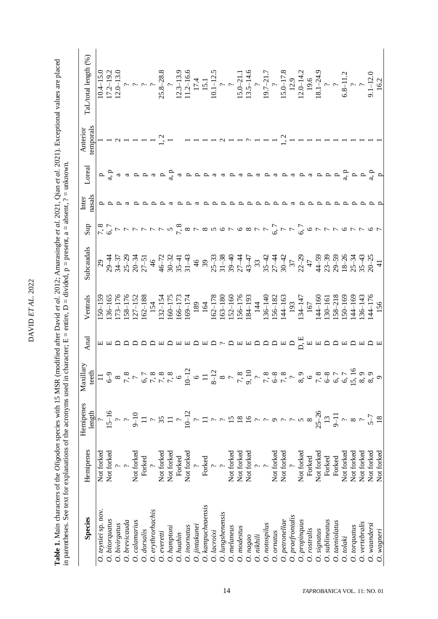DAVID ET AL. 2022 DAVID *ET AL*. 2022AVID ET AL. 2022

Table 1. Main characters of the *Oligodon* species with 15 MSR (modified after David et al. 2012; Amarasinghe et al. 2021, Qian et al. 2021). Exceptional values are placed in parentheses. See text for explanations of the **Table 1.** Main characters of the *Oligodon* species with 15 MSR (modified after David *et al*. 2012; Amarasinghe *et al*. 2021, Qian *et al*. 2021). Exceptional values are placed in parentheses. See text for explanations of the acronyms used in character;  $E = \text{entire}$ ,  $D = \text{divided}$ ,  $p = \text{present}$ ,  $a = \text{absent}$ ,  $? = \text{unknown}$ .

| <b>Species</b>           | Hemipenes                                   | Hemipenes<br>length   | Maxillary<br>teeth               | Anal | Ventrals                                                      | Subcaudals                                                                                                                                          | Sup                                                       | nasals<br>Inter | Loreal                    | temporals<br>Anterior | TaL/total length (%)                                                                                                                                                                                                                                                                          |
|--------------------------|---------------------------------------------|-----------------------|----------------------------------|------|---------------------------------------------------------------|-----------------------------------------------------------------------------------------------------------------------------------------------------|-----------------------------------------------------------|-----------------|---------------------------|-----------------------|-----------------------------------------------------------------------------------------------------------------------------------------------------------------------------------------------------------------------------------------------------------------------------------------------|
| O. teyniei sp. nov.      | Not forked<br>Not forked                    |                       |                                  |      | $150 - 159$                                                   |                                                                                                                                                     |                                                           |                 |                           |                       |                                                                                                                                                                                                                                                                                               |
| O. bitorquatus           |                                             | $15-16$               | P                                |      |                                                               |                                                                                                                                                     |                                                           |                 | $P_{\text{a}}^{\text{H}}$ |                       |                                                                                                                                                                                                                                                                                               |
| O. bivirgatus            |                                             |                       | $\infty$                         |      |                                                               |                                                                                                                                                     |                                                           |                 | a                         |                       |                                                                                                                                                                                                                                                                                               |
| O. brevicauda            | $\ddot{c}$ .                                |                       | $\mathcal{L}_{\bullet}$          |      |                                                               |                                                                                                                                                     |                                                           |                 | a                         |                       |                                                                                                                                                                                                                                                                                               |
| calamarius               | Not forked<br>Forked                        | $9 - 10$              |                                  |      | $136-165$<br>$173-176$<br>$158-176$<br>$127-152$<br>$162-188$ |                                                                                                                                                     |                                                           |                 | $\mathbf{p}$              |                       |                                                                                                                                                                                                                                                                                               |
| dorsalis                 |                                             |                       |                                  |      |                                                               |                                                                                                                                                     |                                                           |                 | $\mathbf{p}$              |                       |                                                                                                                                                                                                                                                                                               |
| $\cdot$ . erythrorhachis | $\ddot{\cdot}$                              |                       | $\sigma$ ,                       |      | 154                                                           |                                                                                                                                                     |                                                           |                 | $\boldsymbol{\beta}$      |                       |                                                                                                                                                                                                                                                                                               |
| 0. everetti              |                                             | 35                    |                                  |      | 132-154<br>160-175                                            |                                                                                                                                                     |                                                           |                 | $\mathbf{p}$              |                       |                                                                                                                                                                                                                                                                                               |
| $O.$ hamptoni            |                                             |                       | 7,                               |      |                                                               |                                                                                                                                                     |                                                           |                 | a, a                      |                       |                                                                                                                                                                                                                                                                                               |
| O. huahin                | Not forked<br>Not forked<br>Forked          | $\tilde{\phantom{a}}$ |                                  |      | 166-173                                                       | $29$<br>$29 - 47$<br>$29 - 37$<br>$29 - 37$<br>$20 - 37$<br>$20 - 51$<br>$46 - 72$<br>$45 - 37$<br>$49 - 37$<br>$49 - 37$<br>$49 - 37$<br>$51 - 43$ | rónnnnnn ronondroonn                                      |                 | a                         |                       |                                                                                                                                                                                                                                                                                               |
| O. inornatus             | Not forked                                  |                       | $10 - 12$                        |      | $169 - 174$                                                   |                                                                                                                                                     |                                                           |                 | $\mathbf{p}$              |                       |                                                                                                                                                                                                                                                                                               |
| O. jintakunei            |                                             |                       |                                  |      | 189                                                           | $\frac{4}{6}$                                                                                                                                       |                                                           |                 |                           |                       |                                                                                                                                                                                                                                                                                               |
| O. kampucheaensis        | $rac{7}{2}$<br>Forked                       |                       |                                  |      | 164                                                           |                                                                                                                                                     |                                                           |                 |                           |                       |                                                                                                                                                                                                                                                                                               |
| O. lacroixi              | $\ddot{c}$ .                                |                       | $\overline{2}$<br>$\overline{5}$ |      | 162-178                                                       |                                                                                                                                                     |                                                           |                 |                           |                       |                                                                                                                                                                                                                                                                                               |
| O.lungshenensis          |                                             |                       |                                  |      |                                                               |                                                                                                                                                     |                                                           |                 |                           |                       |                                                                                                                                                                                                                                                                                               |
| <b>Э</b> . melaneus      | Not forked<br>Not forked<br>Not forked<br>? | $\frac{8}{9}$         |                                  |      | $163-180$<br>$152-160$<br>$156-176$<br>$184-193$              |                                                                                                                                                     |                                                           |                 |                           |                       |                                                                                                                                                                                                                                                                                               |
| 9. modestus              |                                             |                       | $\infty$<br>Γ,                   |      |                                                               |                                                                                                                                                     |                                                           |                 |                           |                       |                                                                                                                                                                                                                                                                                               |
| O. nagao                 |                                             |                       | 9,1                              |      |                                                               |                                                                                                                                                     |                                                           |                 |                           |                       |                                                                                                                                                                                                                                                                                               |
| $O.$ $nikhili$           |                                             |                       |                                  |      | 144                                                           |                                                                                                                                                     |                                                           |                 |                           |                       |                                                                                                                                                                                                                                                                                               |
| O. notospilus            |                                             |                       |                                  |      | $136 - 140$                                                   |                                                                                                                                                     |                                                           |                 |                           |                       |                                                                                                                                                                                                                                                                                               |
| O. ornatus               |                                             |                       | لح                               |      | $156 - 182$                                                   |                                                                                                                                                     |                                                           |                 |                           |                       |                                                                                                                                                                                                                                                                                               |
| $O.$ petronellae         | Not forked<br>Not forked                    |                       | $\mathcal{L}$                    |      | 144-163                                                       |                                                                                                                                                     | $6,7$<br>$7$<br>$7$                                       |                 |                           |                       |                                                                                                                                                                                                                                                                                               |
| O. praefrontalis         |                                             |                       |                                  |      | 193                                                           |                                                                                                                                                     |                                                           |                 |                           |                       |                                                                                                                                                                                                                                                                                               |
| 9. propinquus            | Not forked                                  |                       |                                  |      | $134 - 147$                                                   |                                                                                                                                                     | 6,7                                                       |                 |                           |                       |                                                                                                                                                                                                                                                                                               |
| O. rostralis             | Forked                                      |                       |                                  |      | 167                                                           |                                                                                                                                                     |                                                           |                 | ದ                         |                       |                                                                                                                                                                                                                                                                                               |
| O. signatus              | Not forked                                  | $25 - 26$             | ب م<br>∽                         |      | $144 - 160$                                                   |                                                                                                                                                     |                                                           |                 | p                         |                       |                                                                                                                                                                                                                                                                                               |
| $O.$ sublineatus         | Forked                                      | $13\,$                |                                  |      |                                                               |                                                                                                                                                     |                                                           |                 | $\mathbf{p}$              |                       |                                                                                                                                                                                                                                                                                               |
| O. taeniolatus           | Forked                                      |                       | $\circ$ .                        |      | $\frac{130 - 161}{58 - 218}$<br>Se-218                        |                                                                                                                                                     |                                                           |                 | $\mathbf{p}$              |                       |                                                                                                                                                                                                                                                                                               |
| O.tolaki                 | Not forked                                  |                       | 8 8 7 7 8 8<br>$\acute{\circ}$   |      |                                                               |                                                                                                                                                     | $\begin{array}{c} \mathcal{L} \\ \mathcal{L} \end{array}$ |                 | a, p                      |                       |                                                                                                                                                                                                                                                                                               |
| O. torquatus             | Not forked                                  | $\infty$              |                                  |      | $-44 - 169$                                                   |                                                                                                                                                     |                                                           |                 |                           |                       |                                                                                                                                                                                                                                                                                               |
| $O.$ vertebralis         | Not forked                                  |                       | $15 \times 8$                    |      |                                                               |                                                                                                                                                     |                                                           |                 | $P_{\rm g}$ $P_{\rm g}$   |                       |                                                                                                                                                                                                                                                                                               |
| $O.$ waandersi           | Not forked                                  | $5 - 7$               | $\circ$                          |      | $.36-143$<br>$+176$<br>$156$                                  |                                                                                                                                                     |                                                           |                 |                           |                       | 10.4-15.0<br>17.2-19.2<br>17.2-19.2<br>20.13.1<br>20.13.2<br>20.3-13.9<br>17.4<br>15.1<br>15.0<br>15.0<br>15.0<br>17.211.2<br>19.6<br>19.6<br>2<br>19.6<br>19.6<br>19.6<br>19.6<br>19.1<br>19.6<br>19.2<br>19.2<br>19.2<br>19.2<br>19.2<br>19.2<br>19.2<br>19.2<br>19.2<br>19.1<br>19.2<br>19 |
| $O.$ wagneri             | Not forked                                  |                       |                                  |      |                                                               | $\pm$                                                                                                                                               |                                                           |                 |                           |                       |                                                                                                                                                                                                                                                                                               |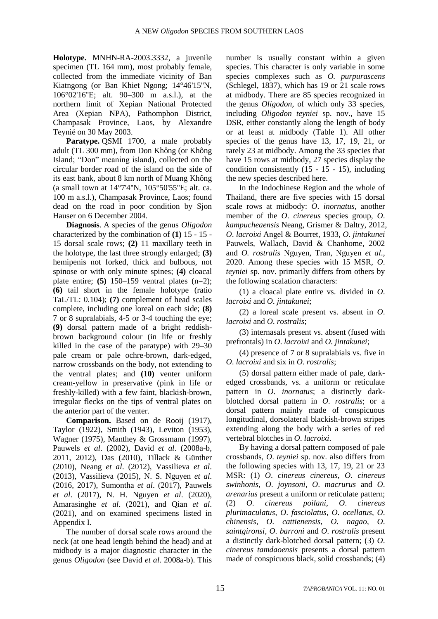**Holotype.** MNHN-RA-2003.3332, a juvenile specimen (TL 164 mm), most probably female, collected from the immediate vicinity of Ban Kiatngong (or Ban Khiet Ngong; 14°46'15''N, 106°02'16''E; alt. 90–300 m a.s.l.), at the northern limit of Xepian National Protected Area (Xepian NPA), Pathomphon District, Champasak Province, Laos, by Alexandre Teynié on 30 May 2003.

**Paratype.** QSMI 1700, a male probably adult (TL 300 mm), from Don Không (or Không Island; "Don" meaning island), collected on the circular border road of the island on the side of its east bank, about 8 km north of Muang Không (a small town at 14°7'4''N, 105°50'55''E; alt. ca. 100 m a.s.l.), Champasak Province, Laos; found dead on the road in poor condition by Sjon Hauser on 6 December 2004.

**Diagnosis**. A species of the genus *Oligodon* characterized by the combination of **(1)** 15 - 15 - 15 dorsal scale rows; **(2)** 11 maxillary teeth in the holotype, the last three strongly enlarged; **(3)** hemipenis not forked, thick and bulbous, not spinose or with only minute spines; **(4)** cloacal plate entire; **(5)** 150–159 ventral plates (n=2); **(6)** tail short in the female holotype (ratio TaL/TL: 0.104); **(7)** complement of head scales complete, including one loreal on each side; **(8)** 7 or 8 supralabials, 4-5 or 3-4 touching the eye; **(9)** dorsal pattern made of a bright reddishbrown background colour (in life or freshly killed in the case of the paratype) with 29–30 pale cream or pale ochre-brown, dark-edged, narrow crossbands on the body, not extending to the ventral plates; and **(10)** venter uniform cream-yellow in preservative (pink in life or freshly-killed) with a few faint, blackish-brown, irregular flecks on the tips of ventral plates on the anterior part of the venter.

**Comparison.** Based on de Rooij (1917), Taylor (1922), Smith (1943), Leviton (1953), Wagner (1975), Manthey & Grossmann (1997), Pauwels *et al*. (2002), David *et al*. (2008a-b, 2011, 2012), Das (2010), Tillack & Günther (2010), Neang *et al*. (2012), Vassilieva *et al*. (2013), Vassilieva (2015), N. S. Nguyen *et al*. (2016, 2017), Sumontha *et al*. (2017), Pauwels *et al*. (2017), N. H. Nguyen *et al*. (2020), Amarasinghe *et al*. (2021), and Qian *et al*. (2021), and on examined specimens listed in Appendix I.

The number of dorsal scale rows around the neck (at one head length behind the head) and at midbody is a major diagnostic character in the genus *Oligodon* (see David *et al*. 2008a-b). This

number is usually constant within a given species. This character is only variable in some species complexes such as *O. purpurascens* (Schlegel, 1837), which has 19 or 21 scale rows at midbody. There are 85 species recognized in the genus *Oligodon*, of which only 33 species, including *Oligodon teyniei* sp. nov., have 15 DSR, either constantly along the length of body or at least at midbody (Table 1). All other species of the genus have 13, 17, 19, 21, or rarely 23 at midbody. Among the 33 species that have 15 rows at midbody, 27 species display the condition consistently  $(15 - 15 - 15)$ , including the new species described here.

In the Indochinese Region and the whole of Thailand, there are five species with 15 dorsal scale rows at midbody: *O*. *inornatus*, another member of the *O*. *cinereus* species group, *O*. *kampucheaensis* Neang, Grismer & Daltry, 2012, *O*. *lacroixi* Angel & Bourret, 1933, *O*. *jintakunei* Pauwels, Wallach, David & Chanhome, 2002 and *O. rostralis* Nguyen, Tran, Nguyen *et al*., 2020. Among these species with 15 MSR, *O*. *teyniei* sp. nov. primarily differs from others by the following scalation characters:

(1) a cloacal plate entire vs. divided in *O*. *lacroixi* and *O*. *jintakunei*;

(2) a loreal scale present vs. absent in *O*. *lacroixi* and *O*. *rostralis*;

(3) internasals present vs. absent (fused with prefrontals) in *O*. *lacroixi* and *O*. *jintakunei*;

(4) presence of 7 or 8 supralabials vs. five in *O*. *lacroixi* and six in *O*. *rostralis*;

(5) dorsal pattern either made of pale, darkedged crossbands, vs. a uniform or reticulate pattern in *O*. *inornatus*; a distinctly darkblotched dorsal pattern in *O*. *rostralis*; or a dorsal pattern mainly made of conspicuous longitudinal, dorsolateral blackish-brown stripes extending along the body with a series of red vertebral blotches in *O*. *lacroixi*.

By having a dorsal pattern composed of pale crossbands, *O*. *teyniei* sp. nov. also differs from the following species with 13, 17, 19, 21 or 23 MSR: (1) *O*. *cinereus cinereus*, *O*. *cinereus swinhonis*, *O*. *joynsoni*, *O*. *macrurus* and *O*. *arenarius* present a uniform or reticulate pattern; (2) *O*. *cinereus poilani*, *O*. *cinereus plurimaculatus*, *O*. *fasciolatus*, *O*. *ocellatus*, *O*. *chinensis*, *O*. *cattienensis*, *O*. *nagao*, *O*. *saintgironsi*, *O*. *barroni* and *O*. *rostralis* present a distinctly dark-blotched dorsal pattern; (3) *O*. *cinereus tamdaoensis* presents a dorsal pattern made of conspicuous black, solid crossbands; (4)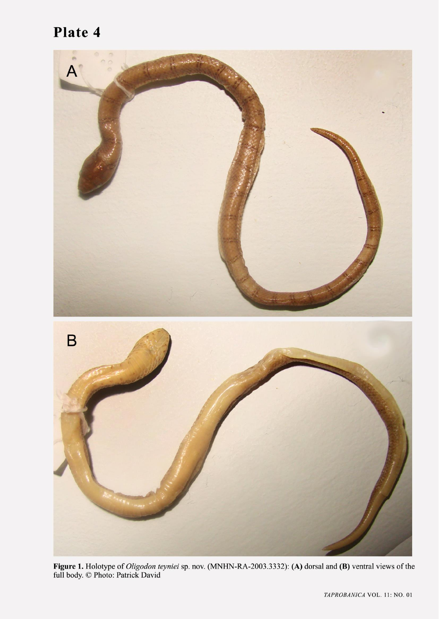# Plate 4



Figure 1. Holotype of *Oligodon teyniei* sp. nov. (MNHN-RA-2003.3332): (A) dorsal and (B) ventral views of the full body. © Photo: Patrick David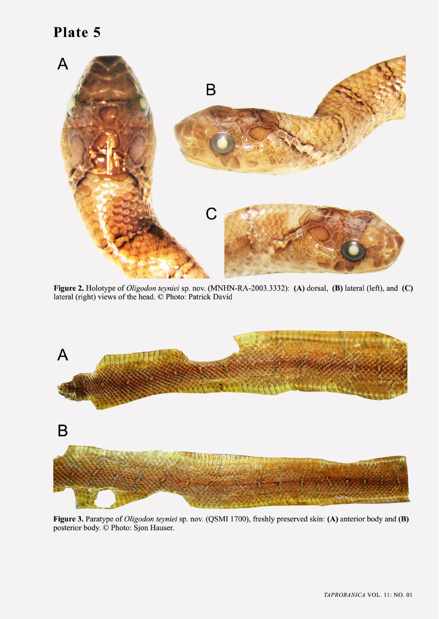# Plate 5



Figure 2. Holotype of Oligodon teyniei sp. nov. (MNHN-RA-2003.3332): (A) dorsal, (B) lateral (left), and (C) lateral (right) views of the head. © Photo: Patrick David



Figure 3. Paratype of Oligodon teyniei sp. nov. (QSMI 1700), freshly preserved skin: (A) anterior body and (B) posterior body. © Photo: Sjon Hauser.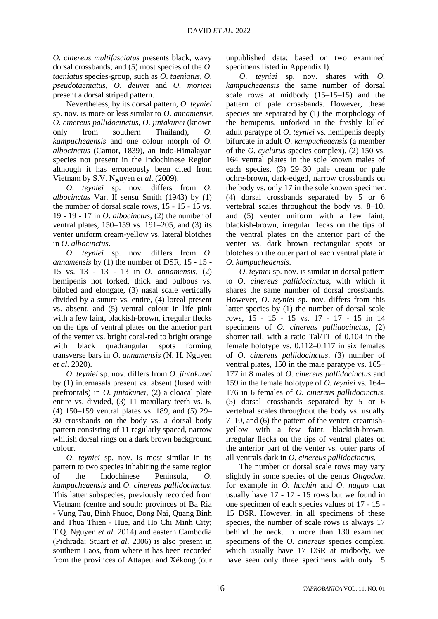*O*. *cinereus multifasciatus* presents black, wavy dorsal crossbands; and (5) most species of the *O*. *taeniatus* species-group, such as *O*. *taeniatus*, *O*. *pseudotaeniatus*, *O*. *deuvei* and *O*. *moricei* present a dorsal striped pattern.

Nevertheless, by its dorsal pattern, *O*. *teyniei* sp. nov. is more or less similar to *O*. *annamensis*, *O*. *cinereus pallidocinctus*, *O*. *jintakunei* (known only from southern Thailand), *O*. *kampucheaensis* and one colour morph of *O*. *albocinctus* (Cantor, 1839), an Indo-Himalayan species not present in the Indochinese Region although it has erroneously been cited from Vietnam by S.V. Nguyen *et al*. (2009).

*O*. *teyniei* sp. nov. differs from *O*. *albocinctus* Var. II sensu Smith (1943) by (1) the number of dorsal scale rows, 15 - 15 - 15 vs. 19 - 19 - 17 in *O*. *albocinctus*, (2) the number of ventral plates, 150–159 vs. 191–205, and (3) its venter uniform cream-yellow vs. lateral blotches in *O*. *albocinctus*.

*O*. *teyniei* sp. nov. differs from *O*. *annamensis* by (1) the number of DSR, 15 - 15 - 15 vs. 13 - 13 - 13 in *O*. *annamensis*, (2) hemipenis not forked, thick and bulbous vs. bilobed and elongate, (3) nasal scale vertically divided by a suture vs. entire, (4) loreal present vs. absent, and (5) ventral colour in life pink with a few faint, blackish-brown, irregular flecks on the tips of ventral plates on the anterior part of the venter vs. bright coral-red to bright orange with black quadrangular spots forming transverse bars in *O*. *annamensis* (N. H. Nguyen *et al*. 2020).

*O*. *teyniei* sp. nov. differs from *O*. *jintakunei* by (1) internasals present vs. absent (fused with prefrontals) in *O*. *jintakunei*, (2) a cloacal plate entire vs. divided, (3) 11 maxillary teeth vs. 6, (4) 150–159 ventral plates vs. 189, and (5) 29– 30 crossbands on the body vs. a dorsal body pattern consisting of 11 regularly spaced, narrow whitish dorsal rings on a dark brown background colour.

*O*. *teyniei* sp. nov. is most similar in its pattern to two species inhabiting the same region of the Indochinese Peninsula, *O*. *kampucheaensis* and *O*. *cinereus pallidocinctus*. This latter subspecies, previously recorded from Vietnam (centre and south: provinces of Ba Ria - Vung Tau, Binh Phuoc, Dong Nai, Quang Binh and Thua Thien - Hue, and Ho Chi Minh City; T.Q. Nguyen *et al*. 2014) and eastern Cambodia (Pichrada; Stuart *et al*. 2006) is also present in southern Laos, from where it has been recorded from the provinces of Attapeu and Xékong (our

unpublished data; based on two examined specimens listed in Appendix I).

*O*. *teyniei* sp. nov. shares with *O*. *kampucheaensis* the same number of dorsal scale rows at midbody (15–15–15) and the pattern of pale crossbands. However, these species are separated by (1) the morphology of the hemipenis, unforked in the freshly killed adult paratype of *O*. *teyniei* vs. hemipenis deeply bifurcate in adult *O*. *kampucheaensis* (a member of the *O. cyclurus* species complex), (2) 150 vs. 164 ventral plates in the sole known males of each species, (3) 29–30 pale cream or pale ochre-brown, dark-edged, narrow crossbands on the body vs. only 17 in the sole known specimen, (4) dorsal crossbands separated by 5 or 6 vertebral scales throughout the body vs. 8–10, and (5) venter uniform with a few faint, blackish-brown, irregular flecks on the tips of the ventral plates on the anterior part of the venter vs. dark brown rectangular spots or blotches on the outer part of each ventral plate in *O*. *kampucheaensis*.

*O*. *teyniei* sp. nov. is similar in dorsal pattern to *O*. *cinereus pallidocinctus*, with which it shares the same number of dorsal crossbands. However, *O*. *teyniei* sp. nov. differs from this latter species by (1) the number of dorsal scale rows, 15 - 15 - 15 vs. 17 - 17 - 15 in 14 specimens of *O*. *cinereus pallidocinctus*, (2) shorter tail, with a ratio Tal/TL of 0.104 in the female holotype vs. 0.112–0.117 in six females of *O*. *cinereus pallidocinctus*, (3) number of ventral plates, 150 in the male paratype vs. 165– 177 in 8 males of *O*. *cinereus pallidocinctus* and 159 in the female holotype of *O. teyniei* vs. 164– 176 in 6 females of *O*. *cinereus pallidocinctus*, (5) dorsal crossbands separated by 5 or 6 vertebral scales throughout the body vs. usually 7–10, and (6) the pattern of the venter, creamishyellow with a few faint, blackish-brown, irregular flecks on the tips of ventral plates on the anterior part of the venter vs. outer parts of all ventrals dark in *O*. *cinereus pallidocinctus*.

The number or dorsal scale rows may vary slightly in some species of the genus *Oligodon*, for example in *O*. *huahin* and *O*. *nagao* that usually have 17 - 17 - 15 rows but we found in one specimen of each species values of 17 - 15 - 15 DSR. However, in all specimens of these species, the number of scale rows is always 17 behind the neck. In more than 130 examined specimens of the *O. cinereus* species complex, which usually have 17 DSR at midbody, we have seen only three specimens with only 15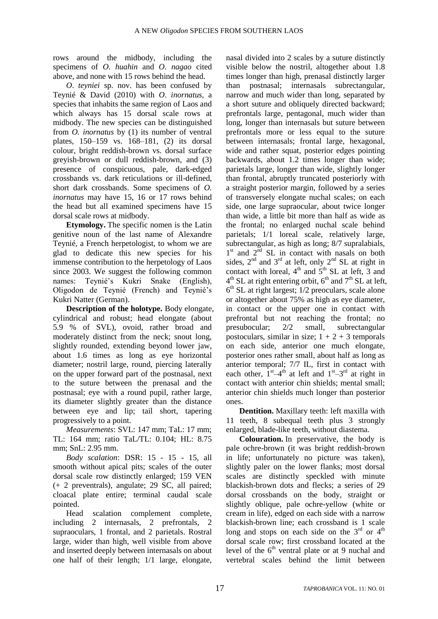rows around the midbody, including the specimens of *O*. *huahin* and *O*. *nagao* cited above, and none with 15 rows behind the head.

*O*. *teyniei* sp. nov. has been confused by Teynié & David (2010) with *O*. *inornatus*, a species that inhabits the same region of Laos and which always has 15 dorsal scale rows at midbody. The new species can be distinguished from *O. inornatus* by (1) its number of ventral plates, 150–159 vs. 168–181, (2) its dorsal colour, bright reddish-brown vs. dorsal surface greyish-brown or dull reddish-brown, and (3) presence of conspicuous, pale, dark-edged crossbands vs. dark reticulations or ill-defined, short dark crossbands. Some specimens of *O. inornatus* may have 15, 16 or 17 rows behind the head but all examined specimens have 15 dorsal scale rows at midbody.

**Etymology.** The specific nomen is the Latin genitive noun of the last name of Alexandre Teynié, a French herpetologist, to whom we are glad to dedicate this new species for his immense contribution to the herpetology of Laos since 2003. We suggest the following common names: Teynié's Kukri Snake (English), Oligodon de Teynié (French) and Teynié's Kukri Natter (German).

**Description of the holotype.** Body elongate, cylindrical and robust; head elongate (about 5.9 % of SVL), ovoid, rather broad and moderately distinct from the neck; snout long, slightly rounded, extending beyond lower jaw, about 1.6 times as long as eye horizontal diameter; nostril large, round, piercing laterally on the upper forward part of the postnasal, next to the suture between the prenasal and the postnasal; eye with a round pupil, rather large, its diameter slightly greater than the distance between eye and lip; tail short, tapering progressively to a point.

*Measurements*: SVL: 147 mm; TaL: 17 mm; TL: 164 mm; ratio TaL/TL: 0.104; HL: 8.75 mm; SnL: 2.95 mm.

*Body scalation*: DSR: 15 - 15 - 15, all smooth without apical pits; scales of the outer dorsal scale row distinctly enlarged; 159 VEN (+ 2 preventrals), angulate; 29 SC, all paired; cloacal plate entire; terminal caudal scale pointed.

Head scalation complement complete, including 2 internasals, 2 prefrontals, 2 supraoculars, 1 frontal, and 2 parietals. Rostral large, wider than high, well visible from above and inserted deeply between internasals on about one half of their length; 1/1 large, elongate,

nasal divided into 2 scales by a suture distinctly visible below the nostril, altogether about 1.8 times longer than high, prenasal distinctly larger than postnasal; internasals subrectangular, narrow and much wider than long, separated by a short suture and obliquely directed backward; prefrontals large, pentagonal, much wider than long, longer than internasals but suture between prefrontals more or less equal to the suture between internasals; frontal large, hexagonal, wide and rather squat, posterior edges pointing backwards, about 1.2 times longer than wide; parietals large, longer than wide, slightly longer than frontal, abruptly truncated posteriorly with a straight posterior margin, followed by a series of transversely elongate nuchal scales; on each side, one large supraocular, about twice longer than wide, a little bit more than half as wide as the frontal; no enlarged nuchal scale behind parietals; 1/1 loreal scale, relatively large, subrectangular, as high as long; 8/7 supralabials, 1<sup>st</sup> and 2<sup>nd</sup> SL in contact with nasals on both sides,  $2<sup>nd</sup>$  and  $3<sup>rd</sup>$  at left, only  $2<sup>nd</sup>$  SL at right in contact with loreal,  $4<sup>th</sup>$  and  $5<sup>th</sup>$  SL at left, 3 and  $4<sup>th</sup>$  SL at right entering orbit,  $6<sup>th</sup>$  and  $7<sup>th</sup>$  SL at left, 6 th SL at right largest; 1/2 preoculars, scale alone or altogether about 75% as high as eye diameter, in contact or the upper one in contact with prefrontal but not reaching the frontal; no presubocular; 2/2 small, subrectangular postoculars, similar in size;  $1 + 2 + 3$  temporals on each side, anterior one much elongate, posterior ones rather small, about half as long as anterior temporal; 7/7 IL, first in contact with each other,  $1^{st} - 4^{th}$  at left and  $1^{st} - 3^{rd}$  at right in contact with anterior chin shields; mental small; anterior chin shields much longer than posterior ones.

**Dentition.** Maxillary teeth: left maxilla with 11 teeth, 8 subequal teeth plus 3 strongly enlarged, blade-like teeth, without diastema.

**Colouration.** In preservative, the body is pale ochre-brown (it was bright reddish-brown in life; unfortunately no picture was taken), slightly paler on the lower flanks; most dorsal scales are distinctly speckled with minute blackish-brown dots and flecks; a series of 29 dorsal crossbands on the body, straight or slightly oblique, pale ochre-yellow (white or cream in life), edged on each side with a narrow blackish-brown line; each crossband is 1 scale long and stops on each side on the  $3<sup>rd</sup>$  or  $4<sup>th</sup>$ dorsal scale row; first crossband located at the level of the  $6<sup>th</sup>$  ventral plate or at 9 nuchal and vertebral scales behind the limit between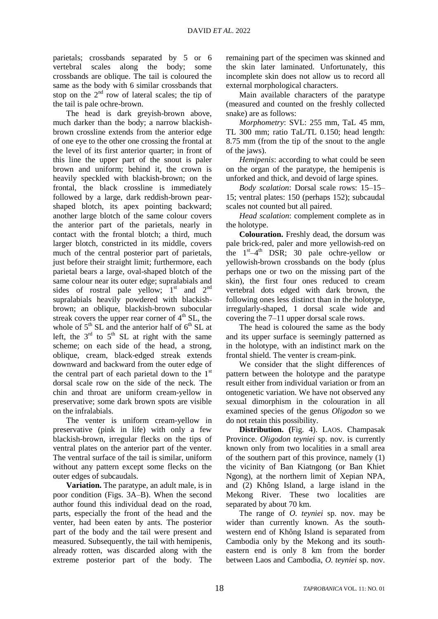parietals; crossbands separated by 5 or 6 vertebral scales along the body; some crossbands are oblique. The tail is coloured the same as the body with 6 similar crossbands that stop on the  $2<sup>nd</sup>$  row of lateral scales; the tip of the tail is pale ochre-brown.

The head is dark greyish-brown above, much darker than the body; a narrow blackishbrown crossline extends from the anterior edge of one eye to the other one crossing the frontal at the level of its first anterior quarter; in front of this line the upper part of the snout is paler brown and uniform; behind it, the crown is heavily speckled with blackish-brown; on the frontal, the black crossline is immediately followed by a large, dark reddish-brown pearshaped blotch, its apex pointing backward; another large blotch of the same colour covers the anterior part of the parietals, nearly in contact with the frontal blotch; a third, much larger blotch, constricted in its middle, covers much of the central posterior part of parietals, just before their straight limit; furthermore, each parietal bears a large, oval-shaped blotch of the same colour near its outer edge; supralabials and sides of rostral pale yellow;  $1<sup>st</sup>$  and  $2<sup>nd</sup>$ supralabials heavily powdered with blackishbrown; an oblique, blackish-brown subocular streak covers the upper rear corner of  $4<sup>th</sup>$  SL, the whole of  $5<sup>th</sup>$  SL and the anterior half of  $6<sup>th</sup>$  SL at left, the  $3<sup>rd</sup>$  to  $5<sup>th</sup>$  SL at right with the same scheme; on each side of the head, a strong, oblique, cream, black-edged streak extends downward and backward from the outer edge of the central part of each parietal down to the  $1<sup>st</sup>$ dorsal scale row on the side of the neck. The chin and throat are uniform cream-yellow in preservative; some dark brown spots are visible on the infralabials.

The venter is uniform cream-yellow in preservative (pink in life) with only a few blackish-brown, irregular flecks on the tips of ventral plates on the anterior part of the venter. The ventral surface of the tail is similar, uniform without any pattern except some flecks on the outer edges of subcaudals.

**Variation.** The paratype, an adult male, is in poor condition (Figs. 3A–B). When the second author found this individual dead on the road, parts, especially the front of the head and the venter, had been eaten by ants. The posterior part of the body and the tail were present and measured. Subsequently, the tail with hemipenis, already rotten, was discarded along with the extreme posterior part of the body. The

remaining part of the specimen was skinned and the skin later laminated. Unfortunately, this incomplete skin does not allow us to record all external morphological characters.

Main available characters of the paratype (measured and counted on the freshly collected snake) are as follows:

*Morphometry*: SVL: 255 mm, TaL 45 mm, TL 300 mm; ratio TaL/TL 0.150; head length: 8.75 mm (from the tip of the snout to the angle of the jaws).

*Hemipenis*: according to what could be seen on the organ of the paratype, the hemipenis is unforked and thick, and devoid of large spines.

*Body scalation*: Dorsal scale rows: 15–15– 15; ventral plates: 150 (perhaps 152); subcaudal scales not counted but all paired.

*Head scalation*: complement complete as in the holotype.

**Colouration.** Freshly dead, the dorsum was pale brick-red, paler and more yellowish-red on the  $1<sup>st</sup>-4<sup>th</sup>$  DSR; 30 pale ochre-yellow or yellowish-brown crossbands on the body (plus perhaps one or two on the missing part of the skin), the first four ones reduced to cream vertebral dots edged with dark brown, the following ones less distinct than in the holotype, irregularly-shaped, 1 dorsal scale wide and covering the 7–11 upper dorsal scale rows.

The head is coloured the same as the body and its upper surface is seemingly patterned as in the holotype, with an indistinct mark on the frontal shield. The venter is cream-pink.

We consider that the slight differences of pattern between the holotype and the paratype result either from individual variation or from an ontogenetic variation. We have not observed any sexual dimorphism in the colouration in all examined species of the genus *Oligodon* so we do not retain this possibility.

**Distribution. (**Fig. 4). LAOS. Champasak Province. *Oligodon teyniei* sp. nov. is currently known only from two localities in a small area of the southern part of this province, namely (1) the vicinity of Ban Kiatngong (or Ban Khiet Ngong), at the northern limit of Xepian NPA, and (2) Không Island, a large island in the Mekong River. These two localities are separated by about 70 km.

The range of *O. teyniei* sp. nov. may be wider than currently known. As the southwestern end of Không Island is separated from Cambodia only by the Mekong and its southeastern end is only 8 km from the border between Laos and Cambodia, *O. teyniei* sp. nov.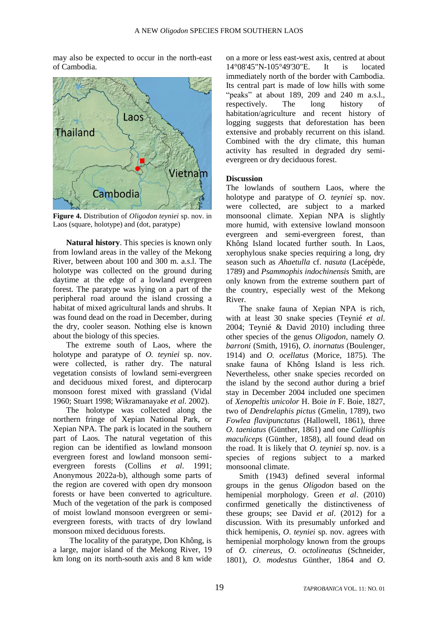may also be expected to occur in the north-east of Cambodia.



**Figure 4.** Distribution of *Oligodon teyniei* sp. nov. in Laos (square, holotype) and (dot, paratype)

**Natural history**. This species is known only from lowland areas in the valley of the Mekong River, between about 100 and 300 m. a.s.l. The holotype was collected on the ground during daytime at the edge of a lowland evergreen forest. The paratype was lying on a part of the peripheral road around the island crossing a habitat of mixed agricultural lands and shrubs. It was found dead on the road in December, during the dry, cooler season. Nothing else is known about the biology of this species.

The extreme south of Laos, where the holotype and paratype of *O. teyniei* sp. nov. were collected, is rather dry. The natural vegetation consists of lowland semi-evergreen and deciduous mixed forest, and dipterocarp monsoon forest mixed with grassland (Vidal 1960; Stuart 1998; Wikramanayake *et al*. 2002).

The holotype was collected along the northern fringe of Xepian National Park, or Xepian NPA. The park is located in the southern part of Laos. The natural vegetation of this region can be identified as lowland monsoon evergreen forest and lowland monsoon semievergreen forests (Collins *et al*. 1991; Anonymous 2022a-b), although some parts of the region are covered with open dry monsoon forests or have been converted to agriculture. Much of the vegetation of the park is composed of moist lowland monsoon evergreen or semievergreen forests, with tracts of dry lowland monsoon mixed deciduous forests.

The locality of the paratype, Don Không, is a large, major island of the Mekong River, 19 km long on its north-south axis and 8 km wide

on a more or less east-west axis, centred at about 14°08'45"N-105°49'30"E. It is located immediately north of the border with Cambodia. Its central part is made of low hills with some "peaks" at about 189, 209 and 240 m a.s.l., respectively. The long history of habitation/agriculture and recent history of logging suggests that deforestation has been extensive and probably recurrent on this island. Combined with the dry climate, this human activity has resulted in degraded dry semievergreen or dry deciduous forest.

## **Discussion**

The lowlands of southern Laos, where the holotype and paratype of *O. teyniei* sp. nov. were collected, are subject to a marked monsoonal climate. Xepian NPA is slightly more humid, with extensive lowland monsoon evergreen and semi-evergreen forest, than Không Island located further south. In Laos, xerophylous snake species requiring a long, dry season such as *Ahaetulla* cf. *nasuta* (Lacépède, 1789) and *Psammophis indochinensis* Smith, are only known from the extreme southern part of the country, especially west of the Mekong River.

The snake fauna of Xepian NPA is rich, with at least 30 snake species (Teynié *et al*. 2004; Teynié & David 2010) including three other species of the genus *Oligodon*, namely *O. barroni* (Smith, 1916), *O. inornatus* (Boulenger, 1914) and *O. ocellatus* (Morice, 1875). The snake fauna of Không Island is less rich. Nevertheless, other snake species recorded on the island by the second author during a brief stay in December 2004 included one specimen of *Xenopeltis unicolor* H. Boie *in* F. Boie, 1827, two of *Dendrelaphis pictus* (Gmelin, 1789), two *Fowlea flavipunctatus* (Hallowell, 1861), three *O. taeniatus* (Günther, 1861) and one *Calliophis maculiceps* (Günther, 1858), all found dead on the road. It is likely that *O. teyniei* sp. nov. is a species of regions subject to a marked monsoonal climate.

Smith (1943) defined several informal groups in the genus *Oligodon* based on the hemipenial morphology. Green *et al*. (2010) confirmed genetically the distinctiveness of these groups; see David *et al*. (2012) for a discussion. With its presumably unforked and thick hemipenis, *O*. *teyniei* sp. nov. agrees with hemipenial morphology known from the groups of *O*. *cinereus*, *O*. *octolineatus* (Schneider, 1801), *O*. *modestus* Günther, 1864 and *O*.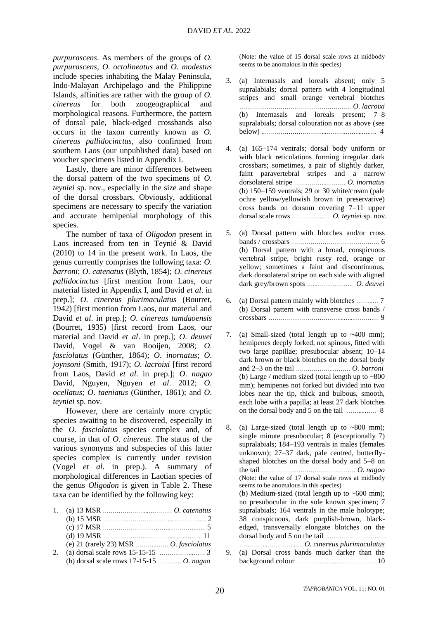*purpurascens*. As members of the groups of *O*. *purpurascens*, *O*. *octolineatus* and *O*. *modestus* include species inhabiting the Malay Peninsula, Indo-Malayan Archipelago and the Philippine Islands, affinities are rather with the group of *O*. *cinereus* for both zoogeographical and morphological reasons. Furthermore, the pattern of dorsal pale, black-edged crossbands also occurs in the taxon currently known as *O. cinereus pallidocinctus*, also confirmed from southern Laos (our unpublished data) based on voucher specimens listed in Appendix I.

Lastly, there are minor differences between the dorsal pattern of the two specimens of *O*. *teyniei* sp. nov., especially in the size and shape of the dorsal crossbars. Obviously, additional specimens are necessary to specify the variation and accurate hemipenial morphology of this species.

The number of taxa of *Oligodon* present in Laos increased from ten in Teynié & David (2010) to 14 in the present work. In Laos, the genus currently comprises the following taxa: *O*. *barroni*; *O*. *catenatus* (Blyth, 1854); *O*. *cinereus pallidocinctus* [first mention from Laos, our material listed in Appendix I, and David *et al*. in prep.]; *O*. *cinereus plurimaculatus* (Bourret, 1942) [first mention from Laos, our material and David *et al*. in prep.]; *O*. *cinereus tamdaoensis* (Bourret, 1935) [first record from Laos, our material and David *et al*. in prep.]; *O*. *deuvei* David, Vogel & van Rooijen, 2008; *O*. *fasciolatus* (Günther, 1864); *O*. *inornatus*; *O*. *joynsoni* (Smith, 1917); *O*. *lacroixi* [first record from Laos, David *et al*. in prep.]; *O*. *nagao*  David, Nguyen, Nguyen *et al*. 2012; *O*. *ocellatus*; *O*. *taeniatus* (Günther, 1861); and *O*. *teyniei* sp. nov.

However, there are certainly more cryptic species awaiting to be discovered, especially in the *O. fasciolatus* species complex and, of course, in that of *O. cinereus*. The status of the various synonyms and subspecies of this latter species complex is currently under revision (Vogel *et al*. in prep.). A summary of morphological differences in Laotian species of the genus *Oligodon* is given in Table 2. These taxa can be identified by the following key:

| 2. |                                           |  |
|----|-------------------------------------------|--|
|    | (b) dorsal scale rows $17-15-15$ O. nagao |  |

(Note: the value of 15 dorsal scale rows at midbody seems to be anomalous in this species)

- 3. (a) Internasals and loreals absent; only 5 supralabials; dorsal pattern with 4 longitudinal stripes and small orange vertebral blotches ………………………………………………… *O. lacroixi* (b) Internasals and loreals present; 7–8 supralabials; dorsal colouration not as above (see below) .…………………………...……….……...….…. 4
- 4. (a) 165–174 ventrals; dorsal body uniform or with black reticulations forming irregular dark crossbars; sometimes, a pair of slightly darker, faint paravertebral stripes and a narrow dorsolateral stripe ……………...……… *O. inornatus* (b) 150–159 ventrals; 29 or 30 white/cream (pale ochre yellow/yellowish brown in preservative) cross bands on dorsum covering 7–11 upper dorsal scale rows ……………..... *O. teyniei* sp. nov.
- 5. (a) Dorsal pattern with blotches and/or cross bands / crossbars ……………………………………… 6 (b) Dorsal pattern with a broad, conspicuous vertebral stripe, bright rusty red, orange or yellow; sometimes a faint and discontinuous, dark dorsolateral stripe on each side with aligned dark grey/brown spots …...………..…….. *O. deuvei*
- 6. (a) Dorsal pattern mainly with blotches ……...… 7 (b) Dorsal pattern with transverse cross bands / crossbars ………………………………...…...……….… 9
- 7. (a) Small-sized (total length up to  $\sim$  400 mm); hemipenes deeply forked, not spinous, fitted with two large papillae; presubocular absent; 10–14 dark brown or black blotches on the dorsal body and 2–3 on the tail ……………….……… *O. barroni* (b) Large / medium sized (total length up to ~800 mm); hemipenes not forked but divided into two lobes near the tip, thick and bulbous, smooth, each lobe with a papilla; at least 27 dark blotches on the dorsal body and 5 on the tail ……....…… 8

8. (a) Large-sized (total length up to  $\sim 800$  mm); single minute presubocular; 8 (exceptionally 7) supralabials; 184–193 ventrals in males (females unknown); 27–37 dark, pale centred, butterflyshaped blotches on the dorsal body and 5–8 on the tail ………………………………………… *O. nagao* (Note: the value of 17 dorsal scale rows at midbody seems to be anomalous in this species) (b) Medium-sized (total length up to  $~600$  mm); no presubocular in the sole known specimen; 7 supralabials; 164 ventrals in the male holotype; 38 conspicuous, dark purplish-brown, blackedged, transversally elongate blotches on the dorsal body and 5 on the tail ……………………...…. …………...…………...…. *O. cinereus plurimaculatus* 9. (a) Dorsal cross bands much darker than the background colour ……………..…………………… 10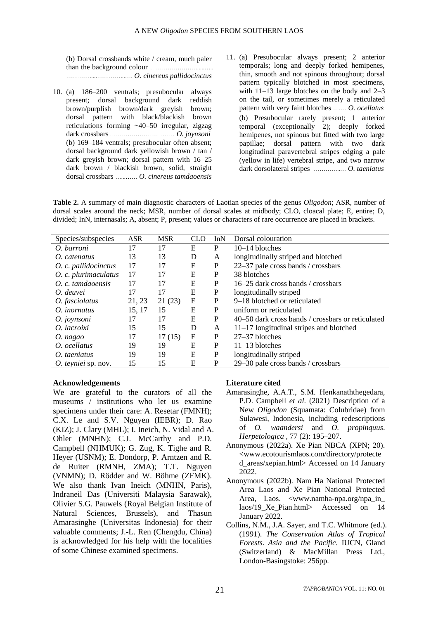(b) Dorsal crossbands white / cream, much paler than the background colour …………………….....….. ………….....…………...…. *O. cinereus pallidocinctus*

- 10. (a) 186–200 ventrals; presubocular always present; dorsal background dark reddish brown/purplish brown/dark greyish brown; dorsal pattern with black/blackish brown reticulations forming ~40–50 irregular, zigzag dark crossbars …………………………… *O. joynsoni* (b) 169–184 ventrals; presubocular often absent; dorsal background dark yellowish brown / tan / dark greyish brown; dorsal pattern with 16–25 dark brown / blackish brown, solid, straight dorsal crossbars …...…… *O. cinereus tamdaoensis*
- 11. (a) Presubocular always present; 2 anterior temporals; long and deeply forked hemipenes, thin, smooth and not spinous throughout; dorsal pattern typically blotched in most specimens, with 11–13 large blotches on the body and 2–3 on the tail, or sometimes merely a reticulated pattern with very faint blotches ….… *O. ocellatus* (b) Presubocular rarely present; 1 anterior temporal (exceptionally 2); deeply forked hemipenes, not spinous but fitted with two large papillae; dorsal pattern with two dark longitudinal paravertebral stripes edging a pale (yellow in life) vertebral stripe, and two narrow dark dorsolateral stripes …………..… *O. taeniatus*

**Table 2.** A summary of main diagnostic characters of Laotian species of the genus *Oligodon*; ASR, number of dorsal scales around the neck; MSR, number of dorsal scales at midbody; CLO, cloacal plate; E, entire; D, divided; InN, internasals; A, absent; P, present; values or characters of rare occurrence are placed in brackets.

| Species/subspecies   | <b>ASR</b> | <b>MSR</b> | <b>CLO</b> | InN          | Dorsal colouration                                |
|----------------------|------------|------------|------------|--------------|---------------------------------------------------|
| O. barroni           | 17         | 17         | E          | P            | 10-14 blotches                                    |
| O. catenatus         | 13         | 13         | D          | A            | longitudinally striped and blotched               |
| O. c. pallidocinctus | 17         | 17         | E          | P            | 22-37 pale cross bands / crossbars                |
| O. c. plurimaculatus | 17         | 17         | E          | $\mathbf{P}$ | 38 blotches                                       |
| O. c. tamdaoensis    | 17         | 17         | E          | P            | 16–25 dark cross bands / crossbars                |
| O. deuvei            | 17         | 17         | E          | P            | longitudinally striped                            |
| O. fasciolatus       | 21, 23     | 21(23)     | E          | P            | 9–18 blotched or reticulated                      |
| O. inornatus         | 15, 17     | 15         | Е          | P            | uniform or reticulated                            |
| O. joynsoni          | 17         | 17         | E          | P            | 40–50 dark cross bands / crossbars or reticulated |
| O. lacroixi          | 15         | 15         | D          | A            | $11-17$ longitudinal stripes and blotched         |
| O. nagao             | 17         | 17(15)     | E          | P            | 27-37 blotches                                    |
| O. ocellatus         | 19         | 19         | E          | P            | $11-13$ blotches                                  |
| O. taeniatus         | 19         | 19         | E          | P            | longitudinally striped                            |
| O. teyniei sp. nov.  | 15         | 15         | Ε          | P            | 29–30 pale cross bands / crossbars                |

### **Acknowledgements**

We are grateful to the curators of all the museums / institutions who let us examine specimens under their care: A. Resetar (FMNH); C.X. Le and S.V. Nguyen (IEBR); D. Rao (KIZ); J. Clary (MHL); I. Ineich, N. Vidal and A. Ohler (MNHN); C.J. McCarthy and P.D. Campbell (NHMUK); G. Zug, K. Tighe and R. Heyer (USNM); E. Dondorp, P. Arntzen and R. de Ruiter (RMNH, ZMA); T.T. Nguyen (VNMN); D. Rödder and W. Böhme (ZFMK). We also thank Ivan Ineich (MNHN, Paris), Indraneil Das (Universiti Malaysia Sarawak), Olivier S.G. Pauwels (Royal Belgian Institute of Natural Sciences, Brussels), and Thasun Amarasinghe (Universitas Indonesia) for their valuable comments; J.-L. Ren (Chengdu, China) is acknowledged for his help with the localities of some Chinese examined specimens.

### **Literature cited**

- Amarasinghe, A.A.T., S.M. Henkanaththegedara, P.D. Campbell *et al*. (2021) Description of a New *Oligodon* (Squamata: Colubridae) from Sulawesi, Indonesia, including redescriptions of *O. waandersi* and *O. propinquus*. *Herpetologica* , 77 (2): 195–207.
- Anonymous (2022a). Xe Pian NBCA (XPN; 20). <www.ecotourismlaos.com/directory/protecte d\_areas/xepian.html> Accessed on 14 January 2022.
- Anonymous (2022b). Nam Ha National Protected Area Laos and Xe Pian National Protected Area, Laos. <www.namha-npa.org/npa\_in\_ laos/19 Xe Pian.html> Accessed on 14 January 2022.
- Collins, N.M., J.A. Sayer, and T.C. Whitmore (ed.). (1991). *The Conservation Atlas of Tropical Forests. Asia and the Pacific*. IUCN, Gland (Switzerland) & MacMillan Press Ltd., London-Basingstoke: 256pp.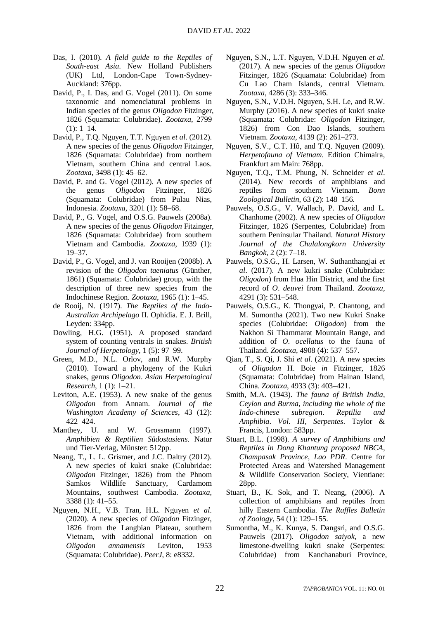- Das, I. (2010). *A field guide to the Reptiles of South-east Asia*. New Holland Publishers (UK) Ltd, London-Cape Town-Sydney-Auckland: 376pp.
- David, P., I. Das, and G. Vogel (2011). On some taxonomic and nomenclatural problems in Indian species of the genus *Oligodon* Fitzinger, 1826 (Squamata: Colubridae). *Zootaxa*, 2799  $(1): 1-14.$
- David, P., T.Q. Nguyen, T.T. Nguyen *et al*. (2012). A new species of the genus *Oligodon* Fitzinger, 1826 (Squamata: Colubridae) from northern Vietnam, southern China and central Laos. *Zootaxa*, 3498 (1): 45–62.
- David, P. and G. Vogel (2012). A new species of the genus *Oligodon* Fitzinger, 1826 (Squamata: Colubridae) from Pulau Nias, Indonesia. *Zootaxa*, 3201 (1): 58–68.
- David, P., G. Vogel, and O.S.G. Pauwels (2008a). A new species of the genus *Oligodon* Fitzinger, 1826 (Squamata: Colubridae) from southern Vietnam and Cambodia. *Zootaxa*, 1939 (1): 19–37.
- David, P., G. Vogel, and J. van Rooijen (2008b). A revision of the *Oligodon taeniatus* (Günther, 1861) (Squamata: Colubridae) group, with the description of three new species from the Indochinese Region. *Zootaxa*, 1965 (1): 1–45.
- de Rooij, N. (1917). *The Reptiles of the Indo-Australian Archipelago* II. Ophidia. E. J. Brill, Leyden: 334pp.
- Dowling, H.G. (1951). A proposed standard system of counting ventrals in snakes. *British Journal of Herpetology*, 1 (5): 97–99.
- Green, M.D., N.L. Orlov, and R.W. Murphy (2010). Toward a phylogeny of the Kukri snakes, genus *Oligodon*. *Asian Herpetological Research*, 1 (1): 1–21.
- Leviton, A.E. (1953). A new snake of the genus *Oligodon* from Annam. *Journal of the Washington Academy of Sciences*, 43 (12): 422–424.
- Manthey, U. and W. Grossmann (1997). *Amphibien & Reptilien Südostasiens*. Natur und Tier-Verlag, Münster: 512pp.
- Neang, T., L. L. Grismer, and J.C. Daltry (2012). A new species of kukri snake (Colubridae: *Oligodon* Fitzinger, 1826) from the Phnom Samkos Wildlife Sanctuary, Cardamom Mountains, southwest Cambodia. *Zootaxa*, 3388 (1): 41–55.
- Nguyen, N.H., V.B. Tran, H.L. Nguyen *et al*. (2020). A new species of *Oligodon* Fitzinger, 1826 from the Langbian Plateau, southern Vietnam, with additional information on *Oligodon annamensis* Leviton, 1953 (Squamata: Colubridae). *PeerJ*, 8: e8332.
- Nguyen, S.N., L.T. Nguyen, V.D.H. Nguyen *et al*. (2017). A new species of the genus *Oligodon* Fitzinger, 1826 (Squamata: Colubridae) from Cu Lao Cham Islands, central Vietnam. *Zootaxa*, 4286 (3): 333–346.
- Nguyen, S.N., V.D.H. Nguyen, S.H. Le, and R.W. Murphy (2016). A new species of kukri snake (Squamata: Colubridae: *Oligodon* Fitzinger, 1826) from Con Dao Islands, southern Vietnam. *Zootaxa*, 4139 (2): 261–273.
- Nguyen, S.V., C.T. Hô, and T.Q. Nguyen (2009). *Herpetofauna of Vietnam*. Edition Chimaira, Frankfurt am Main: 768pp.
- Nguyen, T.Q., T.M. Phung, N. Schneider *et al*. (2014). New records of amphibians and reptiles from southern Vietnam. *Bonn Zoological Bulletin*, 63 (2): 148–156.
- Pauwels, O.S.G., V. Wallach, P. David, and L. Chanhome (2002). A new species of *Oligodon* Fitzinger, 1826 (Serpentes, Colubridae) from southern Peninsular Thailand. *Natural History Journal of the Chulalongkorn University Bangkok*, 2 (2): 7–18.
- Pauwels, O.S.G., H. Larsen, W. Suthanthangjai *et al*. (2017). A new kukri snake (Colubridae: *Oligodon*) from Hua Hin District, and the first record of *O*. *deuvei* from Thailand. *Zootaxa*, 4291 (3): 531–548.
- Pauwels, O.S.G., K. Thongyai, P. Chantong, and M. Sumontha (2021). Two new Kukri Snake species (Colubridae: *Oligodon*) from the Nakhon Si Thammarat Mountain Range, and addition of *O*. *ocellatus* to the fauna of Thailand. *Zootaxa*, 4908 (4): 537–557.
- Qian, T., S. Qi, J. Shi *et al*. (2021). A new species of *Oligodon* H. Boie *in* Fitzinger, 1826 (Squamata: Colubridae) from Hainan Island, China. *Zootaxa*, 4933 (3): 403–421.
- Smith, M.A. (1943). *The fauna of British India*, *Ceylon and Burma*, *including the whole of the Indo-chinese subregion*. *Reptilia and Amphibia*. *Vol*. *III*, *Serpentes*. Taylor & Francis, London: 583pp.
- Stuart, B.L. (1998). *A survey of Amphibians and Reptiles in Dong Khantung proposed NBCA*, *Champasak Province*, *Lao PDR*. Centre for Protected Areas and Watershed Management & Wildlife Conservation Society, Vientiane: 28pp.
- Stuart, B., K. Sok, and T. Neang, (2006). A collection of amphibians and reptiles from hilly Eastern Cambodia. *The Raffles Bulletin of Zoology*, 54 (1): 129–155.
- Sumontha, M., K. Kunya, S. Dangsri, and O.S.G. Pauwels (2017). *Oligodon saiyok*, a new limestone-dwelling kukri snake (Serpentes: Colubridae) from Kanchanaburi Province,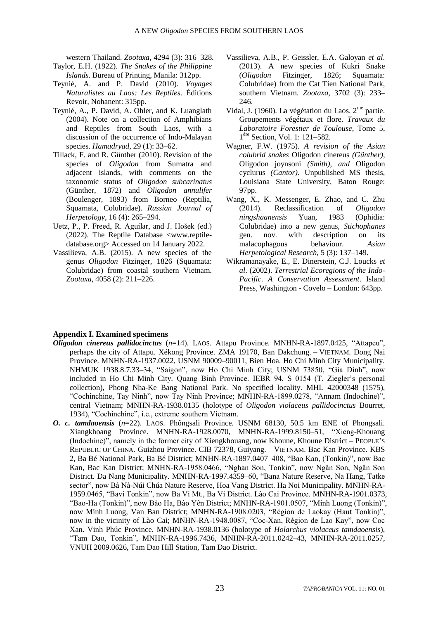western Thailand. *Zootaxa*, 4294 (3): 316–328.

- Taylor, E.H. (1922). *The Snakes of the Philippine Islands*. Bureau of Printing, Manila: 312pp.
- Teynié, A. and P. David (2010). *Voyages Naturalistes au Laos: Les Reptiles*. Éditions Revoir, Nohanent: 315pp.
- Teynié, A., P. David, A. Ohler, and K. Luanglath (2004). Note on a collection of Amphibians and Reptiles from South Laos, with a discussion of the occurrence of Indo-Malayan species. *Hamadryad*, 29 (1): 33–62.
- Tillack, F. and R. Günther (2010). Revision of the species of *Oligodon* from Sumatra and adjacent islands, with comments on the taxonomic status of *Oligodon subcarinatus* (Günther, 1872) and *Oligodon annulifer* (Boulenger, 1893) from Borneo (Reptilia, Squamata, Colubridae). *Russian Journal of Herpetology*, 16 (4): 265–294.
- Uetz, P., P. Freed, R. Aguilar, and J. Hošek (ed.) (2022). The Reptile Database <www.reptiledatabase.org> Accessed on 14 January 2022.
- Vassilieva, A.B. (2015). A new species of the genus *Oligodon* Fitzinger, 1826 (Squamata: Colubridae) from coastal southern Vietnam. *Zootaxa*, 4058 (2): 211–226.
- Vassilieva, A.B., P. Geissler, E.A. Galoyan *et al*. (2013). A new species of Kukri Snake (*Oligodon* Fitzinger, 1826; Squamata: Colubridae) from the Cat Tien National Park, southern Vietnam. *Zootaxa*, 3702 (3): 233– 246.
- Vidal, J. (1960). La végétation du Laos. 2<sup>me</sup> partie. Groupements végétaux et flore. *Travaux du Laboratoire Forestier de Toulouse*, Tome 5, 1 ère Section, Vol. 1: 121–582.
- Wagner, F.W. (1975). *A revision of the Asian colubrid snakes* Oligodon cinereus *(Günther)*, Oligodon joynsoni *(Smith)*, *and* Oligodon cyclurus *(Cantor)*. Unpublished MS thesis, Louisiana State University, Baton Rouge: 97pp.
- Wang, X., K. Messenger, E. Zhao, and C. Zhu (2014). Reclassification of *Oligodon ningshaanensis* Yuan, 1983 (Ophidia: Colubridae) into a new genus, *Stichophanes* gen. nov. with description on its malacophagous behaviour. *Asian Herpetological Research*, 5 (3): 137–149.
- Wikramanayake, E., E. Dinerstein, C.J. Loucks *et al*. (2002). *Terrestrial Ecoregions of the Indo-Pacific*. *A Conservation Assessment*. Island Press, Washington - Covelo – London: 643pp.

### **Appendix I. Examined specimens**

- *Oligodon cinereus pallidocinctus* (*n*=14). LAOS. Attapu Province. MNHN-RA-1897.0425, "Attapeu", perhaps the city of Attapu. Xékong Province. ZMA 19170, Ban Dakchung. – VIETNAM. Dong Nai Province. MNHN-RA-1937.0022, USNM 90009–90011, Bien Hoa. Ho Chi Minh City Municipality. NHMUK 1938.8.7.33-34, "Saigon", now Ho Chi Minh City; USNM 73850, "Gia Dinh", now included in Ho Chi Minh City. Quang Binh Province. IEBR 94, S 0154 (T. Ziegler's personal collection), Phong Nha-Ke Bang National Park. No specified locality. MHL 42000348 (1575), "Cochinchine, Tay Ninh", now Tay Ninh Province; MNHN-RA-1899.0278, "Annam (Indochine)", central Vietnam; MNHN-RA-1938.0135 (holotype of *Oligodon violaceus pallidocinctus* Bourret, 1934), "Cochinchine", i.e., extreme southern Vietnam.
- *O. c. tamdaoensis* (*n*=22). LAOS. Phôngsali Province. USNM 68130, 50.5 km ENE of Phongsali. Xiangkhoang Province. MNHN-RA-1928.0070, MNHN-RA-1999.8150–51, "Xieng-Khouang (Indochine)", namely in the former city of Xiengkhouang, now Khoune, Khoune District – PEOPLE'S REPUBLIC OF CHINA. Guizhou Province. CIB 72378, Guiyang. – VIETNAM. Bac Kan Province. KBS 2, Ba Bé National Park, Ba Bé District; MNHN-RA-1897.0407-408, "Bao Kan, (Tonkin)", now Bac Kan, Bac Kan District; MNHN-RA-1958.0466, "Nghan Son, Tonkin", now Ngân Son, Ngân Son District. Da Nang Municipality. MNHN-RA-1997.4359–60, "Bana Nature Reserve, Na Hang, Tatke sector", now Bà Nà-Núi Chúa Nature Reserve, Hoa Vang District. Ha Noi Municipality. MNHN-RA-1959.0465, "Bavi Tonkin", now Ba Vi Mt., Ba Vi District. Lào Cai Province. MNHN-RA-1901.0373, "Bao-Ha (Tonkin)", now Bào Ha, Bào Yên District; MNHN-RA-1901.0507, "Minh Luong (Tonkin)", now Minh Luong, Van Ban District; MNHN-RA-1908.0203, "Région de Laokay (Haut Tonkin)", now in the vicinity of Lào Cai; MNHN-RA-1948.0087, "Coc-Xan, Région de Lao Kay", now Coc Xan. Vinh Phúc Province. MNHN-RA-1938.0136 (holotype of *Holarchus violaceus tamdaoensis*), ―Tam Dao, Tonkin‖, MNHN-RA-1996.7436, MNHN-RA-2011.0242–43, MNHN-RA-2011.0257, VNUH 2009.0626, Tam Dao Hill Station, Tam Dao District.